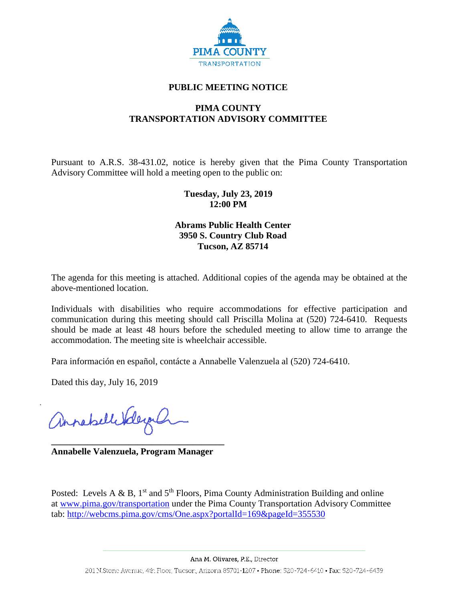

# **PUBLIC MEETING NOTICE**

# **PIMA COUNTY TRANSPORTATION ADVISORY COMMITTEE**

Pursuant to A.R.S. 38-431.02, notice is hereby given that the Pima County Transportation Advisory Committee will hold a meeting open to the public on:

## **Tuesday, July 23, 2019 12:00 PM**

### **Abrams Public Health Center 3950 S. Country Club Road Tucson, AZ 85714**

The agenda for this meeting is attached. Additional copies of the agenda may be obtained at the above-mentioned location.

Individuals with disabilities who require accommodations for effective participation and communication during this meeting should call Priscilla Molina at (520) 724-6410. Requests should be made at least 48 hours before the scheduled meeting to allow time to arrange the accommodation. The meeting site is wheelchair accessible.

Para información en español, contácte a Annabelle Valenzuela al (520) 724-6410.

Dated this day, July 16, 2019

Annahellerderg

**\_\_\_\_\_\_\_\_\_\_\_\_\_\_\_\_\_\_\_\_\_\_\_\_\_\_\_\_\_\_\_\_\_\_\_\_\_\_ Annabelle Valenzuela, Program Manager**

Posted: Levels A & B,  $1<sup>st</sup>$  and  $5<sup>th</sup>$  Floors, Pima County Administration Building and online at [www.pima.gov/transportation](http://www.pima.gov/transportation) under the Pima County Transportation Advisory Committee tab:<http://webcms.pima.gov/cms/One.aspx?portalId=169&pageId=355530>